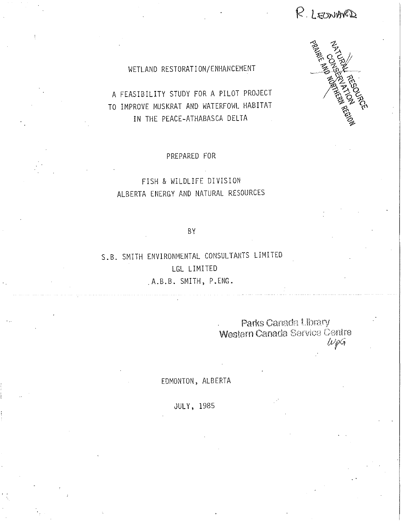R. LEONARD



## WETLAND RESTORATION/ENHANCEMENT

A FEASIBILITY STUDY FOR A PILOT PROJECT TO IMPROVE MUSKRAT AND WATERFOWL HABITAT IN THE PEACE-ATHABASCA DELTA

PREPARED FOR

## FISH & WILDLIFE DIVISION ALBERTA ENERGY AND NATURAL RESOURCES

### **BY**

S.B. SMITH ENVIRONMENTAL CONSULTANTS LIMITED LGL LIMITED A.B.B. SMITH, P.ENG.

> Parks Canada Library Western Canada Service Centre  $w_{\rho}$ G

EDMONTON, ALBERTA

**JULY, 1985**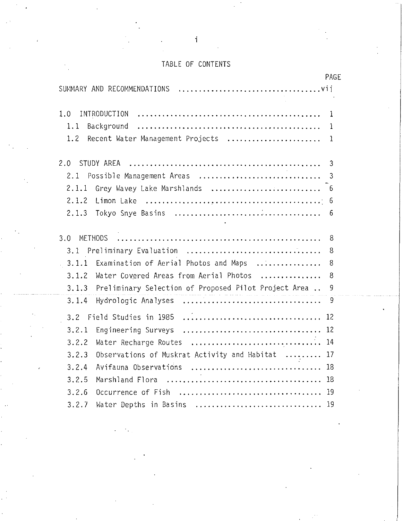# TABLE OF CONTENTS

| PAGE                                                                  |  |
|-----------------------------------------------------------------------|--|
|                                                                       |  |
| 1.0<br>1                                                              |  |
| 1.1<br>Background<br>$\mathbf{1}$                                     |  |
| Recent Water Management Projects<br>1.2<br>$\mathbf{1}$               |  |
| STUDY AREA<br>2.0<br>3                                                |  |
| Possible Management Areas<br>2.1<br>3                                 |  |
| 2.1.1                                                                 |  |
| 2.1.2<br>6                                                            |  |
| 2.1.3<br>6                                                            |  |
| <b>METHODS</b><br>3.0<br>8                                            |  |
| 3.1 Preliminary Evaluation<br>8                                       |  |
| Examination of Aerial Photos and Maps<br>3.1.1<br>8<br>$\mathbb{R}^2$ |  |
| Water Covered Areas from Aerial Photos<br>8<br>3.1.2                  |  |
| Preliminary Selection of Proposed Pilot Project Area<br>3.1.3<br>9    |  |
| 3.1.4<br>9                                                            |  |
| 12                                                                    |  |
| 12<br>3, 2.1                                                          |  |
| Water Recharge Routes<br>14<br>3.2.2                                  |  |
| 3.2.3<br>Observations of Muskrat Activity and Habitat<br>17           |  |
| Avifauna Observations<br>3.2.4<br>18                                  |  |
| 3.2.5<br>18                                                           |  |
| 3.2.6<br>19                                                           |  |
| 3.2.7<br>19<br>Water Depths in Basins                                 |  |

i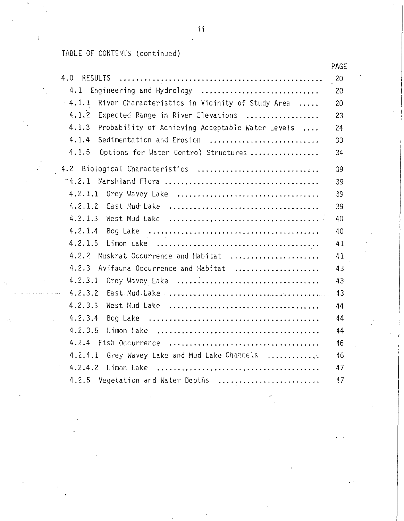TABLE OF CONTENTS (continued)

 $\mathfrak{i}$ 

|                                                             | PAGE            |
|-------------------------------------------------------------|-----------------|
|                                                             | 20              |
| 4.1 Engineering and Hydrology                               | 20              |
| $-4.1.1$<br>River Characteristics in Vicinity of Study Area | 20              |
| 4.1.2<br>Expected Range in River Elevations                 | 23              |
| 4.1.3<br>Probability of Achieving Acceptable Water Levels   | 24              |
| 4.1.4<br>Sedimentation and Erosion                          | 33              |
| 4.1.5 Options for Water Control Structures                  | 34              |
| 4.2 Biological Characteristics                              | 39              |
|                                                             | 39              |
|                                                             | 39              |
|                                                             | 39              |
|                                                             | 40              |
|                                                             | 40              |
|                                                             | 41              |
| 4.2.2 Muskrat Occurrence and Habitat                        | 41              |
| 4.2.3 Avifauna Occurrence and Habitat                       | 43              |
|                                                             | 43 <sup>°</sup> |
|                                                             |                 |
|                                                             | 44              |
|                                                             | 44              |
|                                                             | 44              |
|                                                             | 46              |
| 4.2.4.1 Grey Wavey Lake and Mud Lake Channels               | 46              |
|                                                             | 47              |
| 4.2.5 Vegetation and Water Depths                           | 47              |

i i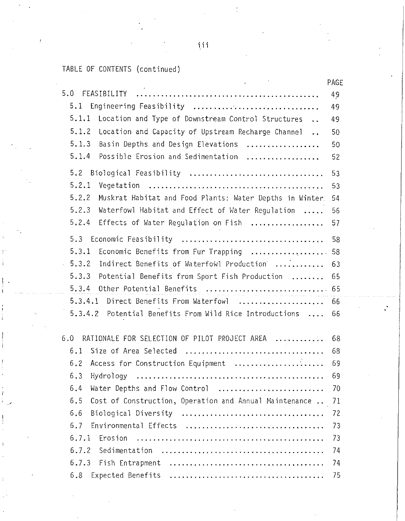i i i

# TABLE OF CONTENTS (continued)

..'

|                                                                                    | PAGE |
|------------------------------------------------------------------------------------|------|
| 5.0                                                                                | 49   |
| 5.1<br>Engineering Feasibility                                                     | 49   |
| 5.1.1<br>Location and Type of Downstream Control Structures                        | 49   |
| 5.1.2<br>Location and Capacity of Upstream Recharge Channel.                       | 50   |
| 5.1.3<br>Basin Depths and Design Elevations                                        | 50   |
| 5.1.4<br>Possible Erosion and Sedimentation                                        | 52   |
| 5.2 Biological Feasibility                                                         | 53   |
| 5.2.1                                                                              | 53   |
| 5.2.2<br>Muskrat Habitat and Food Plants: Water Depths in Winter.                  | 54   |
| 5.2.3<br>Waterfowl Habitat and Effect of Water Regulation                          | 56   |
| 5, 2.4<br>Effects of Water Regulation on Fish                                      | 57   |
| 5.3                                                                                | 58   |
| 5.3.1<br>Economic Benefits from Fur Trapping  58                                   |      |
| Indirect Benefits of Waterfowl Production<br>5, 3.2<br>$\mathcal{L}^{\mathcal{L}}$ | 63   |
| 5.3.3<br>Potential Benefits from Sport Fish Production                             | 65   |
| 5.3.4<br>Other Potential Benefits  65                                              |      |
| 5.3.4.1 Direct Benefits From Waterfowl  66                                         |      |
| 5.3.4.2<br>Potential Benefits From Wild Rice Introductions                         | 66   |
| RATIONALE FOR SELECTION OF PILOT PROJECT AREA<br>6.0                               | -68  |
| 6.1                                                                                | 68   |
| 6.2 Access for Construction Equipment                                              | 69   |
|                                                                                    | 69   |
| Water Depths and Flow Control<br>6.4                                               | 70   |
| Cost of Construction, Operation and Annual Maintenance<br>6.5                      | 71   |
| 6.6                                                                                | 72   |
| Environmental Effects<br>6.7                                                       | 73   |
|                                                                                    | 73   |
|                                                                                    | 74   |
| 6.7.3 Fish Entrapment                                                              | 74   |
| 6.8                                                                                | 75   |
|                                                                                    |      |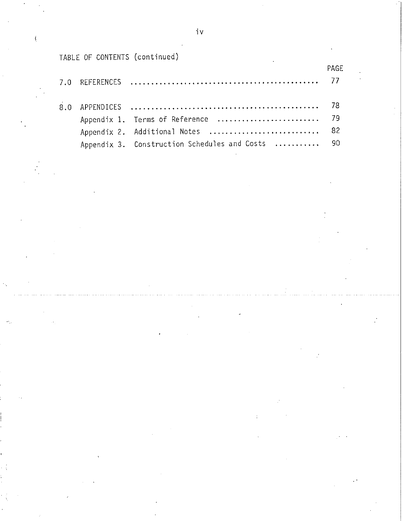# TABLE OF CONTENTS (continued)

|  |                                                  | PAGE |
|--|--------------------------------------------------|------|
|  |                                                  |      |
|  | Appendix 1. Terms of Reference  79               |      |
|  | Appendix 2. Additional Notes  82                 |      |
|  | Appendix 3. Construction Schedules and Costs  90 |      |

iv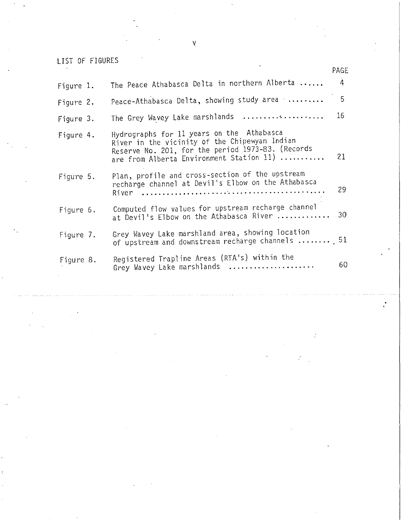v

## LIST OF FIGURES

|           |                                                                                                                                                                                             | PAGE            |
|-----------|---------------------------------------------------------------------------------------------------------------------------------------------------------------------------------------------|-----------------|
| Figure 1. | The Peace Athabasca Delta in northern Alberta                                                                                                                                               | $\overline{4}$  |
| Figure 2. | Peace-Athabasca Delta, showing study area                                                                                                                                                   | 5               |
| Figure 3. | The Grey Wavey Lake marshlands                                                                                                                                                              | 16              |
| Figure 4. | Hydrographs for 11 years on the Athabasca<br>River in the vicinity of the Chipewyan Indian<br>Reserve No. 201, for the period 1973-83. (Records<br>are from Alberta Environment Station 11) | 21 <sup>2</sup> |
| Figure 5. | Plan, profile and cross-section of the upstream<br>recharge channel at Devil's Elbow on the Athabasca                                                                                       | 29              |
| Figure 6. | Computed flow values for upstream recharge channel<br>at Devil's Elbow on the Athabasca River                                                                                               | 30              |
| Figure 7. | Grey Wavey Lake marshland area, showing location<br>of upstream and downstream recharge channels $\ldots \ldots \ldots$ 51                                                                  |                 |
| Figure 8. | Registered Trapline Areas (RTA's) within the<br>Grey Wavey Lake marshlands                                                                                                                  | 60              |
|           |                                                                                                                                                                                             |                 |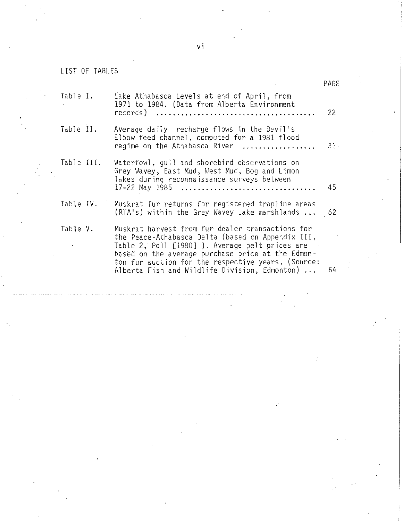LIST OF TABLES

|                       |                                                                                                                                                                                                                                                                                                                               | PAGE |
|-----------------------|-------------------------------------------------------------------------------------------------------------------------------------------------------------------------------------------------------------------------------------------------------------------------------------------------------------------------------|------|
| Table I.              | Lake Athabasca Levels at end of April, from<br>1971 to 1984. (Data from Alberta Environment                                                                                                                                                                                                                                   | 22   |
| Table II.             | Average daily recharge flows in the Devil's<br>Elbow feed channel, computed for a 1981 flood<br>regime on the Athabasca River                                                                                                                                                                                                 | 31.  |
| Table III.            | Waterfowl, gull and shorebird observations on<br>Grey Wavey, East Mud, West Mud, Bog and Limon<br>lakes during reconnaissance surveys between<br>17-22 May 1985                                                                                                                                                               | 45   |
| Table IV.             | Muskrat fur returns for registered trapline areas<br>(RTA's) within the Grey Wavey Lake marshlands                                                                                                                                                                                                                            | - 62 |
| Table V.<br>$\bullet$ | Muskrat harvest from fur dealer transactions for<br>the Peace-Athabasca Delta (based on Appendix III,<br>Table 2, Poll [1980] ). Average pelt prices are<br>based on the average purchase price at the Edmon-<br>ton fur auction for the respective years. (Source:<br>Alberta Fish and Wildlife Division, Edmonton) $\ldots$ | 64   |
|                       |                                                                                                                                                                                                                                                                                                                               |      |

vi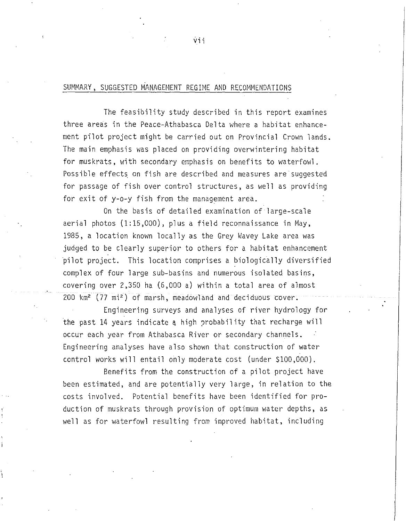### SUMMARY, SUGGESTED MANAGEMENT REGIME AND RECOMMENDATIONS

The feasibility study described in this report examines three areas in the Peace-Athabasca Delta where a habitat enhancement pilot project might be carried out on Provincial Crown lands. The main emphasis was placed on providing overwintering habitat for muskrats, with secondary emphasis on benefits to waterfowl. Possible effects on fish are described and measures are suggested for passage of fish over control structures, as well as providing for exit of y-o-y fish from the management area.

On the basis of detailed examination of large-scale aerial photos (1:15,000), plus a field reconnaissance in May, 1985, a location known locally as the Grey Wavey Lake area was judged to be clearly superior to others for a habitat enhancement pilot project. This location comprises a biologically diversified complex of four large sub-basins and numerous isolated basins, covering over 2,350 ha (6,000 a) within a total area of almost  $200 \text{ km}^2$  (77 mi<sup>2</sup>) of marsh, meadowland and deciduous cover.

Engineering surveys and analyses of river hydrology for the past 14 years indicate a high probability that recharge will occur each year from Athabasca River or secondary channels. Engineering analyses have also shown that construction of water control works will entail only moderate cost (under \$100,000).

Benefits from the construction of a pilot project have been estimated, and are potentially very large, in relation to the costs involved. Potential benefits have been identified for production of muskrats through provision of optimum water depths, as well as for waterfowl resulting from improved habitat, including

 $\dot{v}$ ij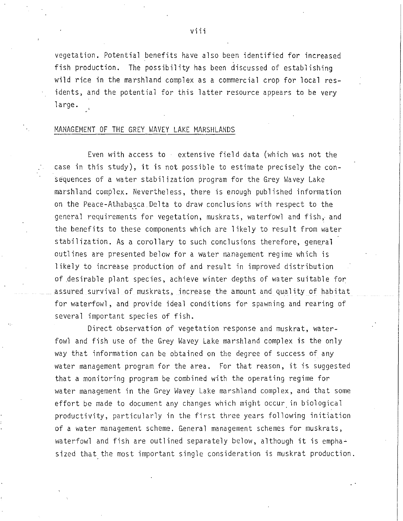vegetation. Potential benefits have also been identified for increased fish production. The possibility has been discussed of establishing wild rice in the marshland complex as a commercial crop for local residents, and the potential for this latter resource appears to be very large.

#### MANAGEMENT OF THE GREY WAVEY LAKE MARSHLANDS

Even with access to extensive field data (which was not the case in this study), it is not possible to estimate precisely the consequences of a water stabilization program for the Grey Wavey Lake marshland complex. Nevertheless, there is enough published information on the Peace-Athabasca Delta to draw conclusions with respect to the general requirements for vegetation, muskrats, waterfowl and fish, and the benefits to these components which are likely to result from water stabilization. As a corollary to such conclusions therefore, general outlines are presented below for a water management regime which is likely to increase production of and result in improved distribution of .desirable plant species, achieve winter depths of water suitable for assured survival of muskrats, increase the amount and quality of habitat for waterfowl, and provide ideal conditions for spawning and rearing of several important species of fish.

Direct observation of vegetation response and muskrat, waterfovil and fish use of the Grey Wavey Lake marshland complex is the only way that information can be obtained on the degree of success of any water management program for the area. For that reason, it is suggested that a monitoring program be combined with the operating regime for water management in the Grey Wavey Lake marshland complex, and that some effort be made to document any changes which might occur in biological productivity, particularly in the first three years following initiation of a water management scheme. General management schemes for muskrats, waterfowl and fish are outlined separately below, although it is empha $\div$ sized that the most important single consideration is muskrat production.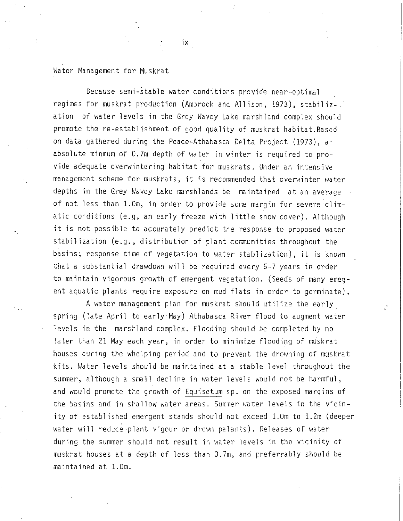### Water Management for Muskrat

Because semi-stable water conditions provide near-optimal regimes for muskrat production (Ambrock and Allison, 1973), stabilization of water levels in the Grey Wavey Lake marshland complex should promote the re-establishment of good quality of muskrat habitat.Based on data gathered during the Peace-Athabasca Delta Project (1973), an absolute minmum of 0.7m depth of water in winter is required to provide adequate overwintering habitat for muskrats. Under an intensive management scheme for muskrats, it is recommended that overwinter water depths in the Grey Wavey Lake marshlands be maintained at an average of not less than 1.0m, in order to provide some margin for severe climatic conditions (e.g, an early freeze with little show cover). Although it is not possible to accurately predict the response to proposed water stabilization (e.g., distribution of plant conmunities throughout the basins; response time of vegetation to water stablization), it is known that a substantial drawdown will be required every 5-7 years in order to maintain vigorous growth of emergent vegetation. (Seeds of many emegent aquatic plants require exposure on mud flats in order to germinate).

A water management plan for muskrat should utilize the early. spring (late April to early·May) Athabasca River flood to augment water levels in the marshland complex. Flooding should be completed by no later than 21 May each year, in order to minimize flooding of muskrat houses during the whelping period and to prevent the drowning of muskrat kits. Water levels should be maintained at a stable level throughout the summer, although a small decline in water levels would not be harmful, and would promote the growth of Equisetum sp. on the exposed margins of the basins and in shallow water areas. Summer water levels in the vicinity of established emergent stands should not exceed l.Om to 1.2m (deeper water will reduce plant vigour or drown palants). Releases of water during the summer should not result in water levels in the vicinity of muskrat houses at a depth of less than 0.7m, and preferrably should be maintained at 1.0m.

ix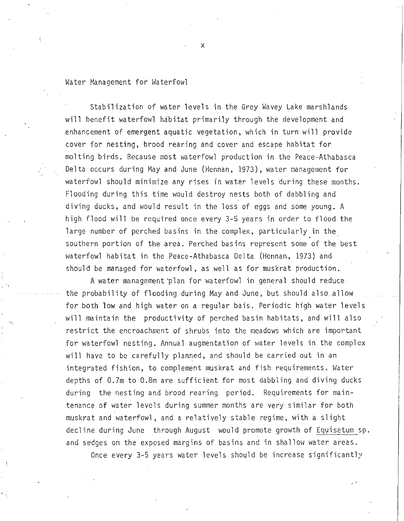### Water Management for Waterfowl

Stabilization of water levels in the Grey Wavey Lake marshlands will benefit waterfowl habitat primarily through the development and enhancement of emergent aquatic vegetation, which in turn will provide cover for nesting, brood rearing and cover and escape habitat for molting birds. Because most waterfowl production in the Peace-Athabasca Delta occurs during May and June (Hennan, 1973), water management for waterfowl should minimize any rises in water levels during these months. Flooding during this time would destroy nests both of dabbling and diving ducks, and would result in the loss of eggs and some young. A high flood will be required once every 3-5 years in order to flood the large number of perched basins in the complex, particularly in the southern portion of the area. Perched basins represent some of the best waterfowl habitat in the Peace-Athabasca Delta (Hennan, 1973) and should be managed for waterfowl, as well as for muskrat production.

A water management ·plan for waterfowl in general should reduce the probability of flooding during May and June, but should also allow for both low and high water on a regular bais. Periodic high water levels will maintain the productivity of perched basin habitats, and will also restrict the encroachment of shrubs into the meadows which are important for waterfowl nesting. Annual augmentation of water levels in the complex will have to be carefully planned, and should be carried out in an integrated fishion, to complement muskrat and fish requirements. Water depths of 0.7m to 0.8m are sufficient for most dabbling and diving ducks during the nesting and brood rearing period. Requirements for maintenance of water levels during summer months are very similar for both muskrat and waterfowl, and a relatively stable regime, with a slight decline during June through August would promote growth of Equisetum sp. and sedges on the exposed margins of basins and in shallow water areas.

Once every 3-5 years water levels should be increase significantly

x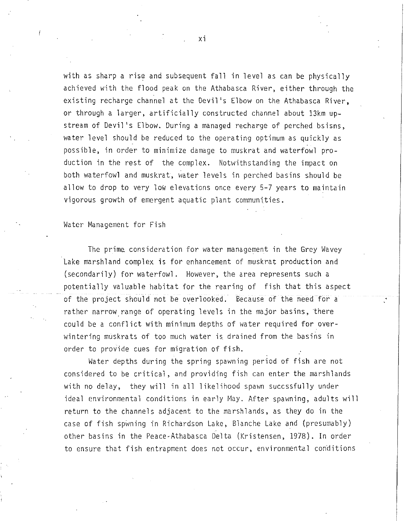with as sharp a rise and subsequent fall in level as can be physically achieved with the flood peak on the Athabasca River, either through the existing recharge channel at the Devil's Elbow on the Athabasca River, or through a larger, artificially constructed channel about 13km upstream of Devil's Elbow. During a managed recharge of perched bsisns, water level should be reduced to the operating optimum as quickly as possible, in order to minimize damage to muskrat and waterfowl production in the rest of the complex. Notwithstanding the impact on both waterfowl and muskrat, water levels in perched basins should be allow to drop to very low elevations once every 5-7 years to maintain vigorous growth of emergent aquatic plant communities.

Water Management for Fish

The prime. consideration for water management in the Grey Wavey Lake marshland complex is for enhancement of muskrat production and (secondarily) for waterfowl. However, the area represents such a potentially valuable habitat for the rearing of fish that this aspect of the project should not be overlooked. Because of the need for a rather narrow range of operating levels in the major basins, there could be a conflict with minimum depths of water required for overwintering muskrats of too much water is drained from the basins in order to provide cues for migration of fish.

Water depths during the spring spawning period of fish are not considered to be critical, and providing fish can enter the marshlands with no delay, they will in all likelihood spawn succssfully under ideal environmental conditions in early May. After spawning, adults will return to the channels adjacent to the marshlands, as they do in the case of fish spwning in Richardson Lake, Blanche Lake and (presumably) other basins in the Peace-Athabasca De1ta (Kristensen, 1978). In order to ensure that fish entrapment does not occur, environmental conditions

xi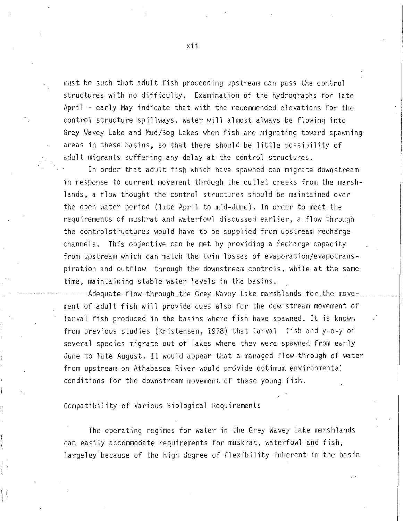must be such that adult fish proceeding upstream can pass the control structures with no difficulty. Examination of the hydrographs for late April - early May indicate that with the recommended elevations for the control structure spillways. water will almost always be flowing into Grey Wavey Lake and Mud/Bog Lakes when fish are migrating toward spawning areas in these basins, so that there should be little possibility of adult migrants suffering any delay at the control structures.

In order that adult fish which have spawned can migrate downstream in response to current movement through the outlet creeks from the marshlands, a flow thought the control structures should be maintained over the open water period (late April to mid-June). In order to meet the requirements of muskrat and waterfowl discussed earlier, a flow through the controlstructures would have to be supplied from upstream recharge channels. This objective can be met by providing a recharge capacity from upstream which can match the twin losses of evaporation/evapotranspiration and outflow through the downstream controls, while at the same time, maintaining stable water levels in the basins.

Adequate flow through.the Grey Wavey Lake marshlands for the movement of adult fish will provide cues also for the downstream movement of larval fish produced in the basins where fish have spawned. It is known from previous studies (Kristensen, 1978) that larval fish and y-o-y of several species migrate out of lakes where they were spawned from early June to late August. It would appear that a managed flow-through of water from upstream on Athabasca River would provide optimum environmental conditions for the downstream movement of these young fish.

Compatibility of Various Biological Requirements

The operating regimes for water in the Grey Wavey Lake marshlands can easily accommodate requirements for muskrat, waterfowl and fish, largeley'because of the high degree of flexibility inherent in the basin

xii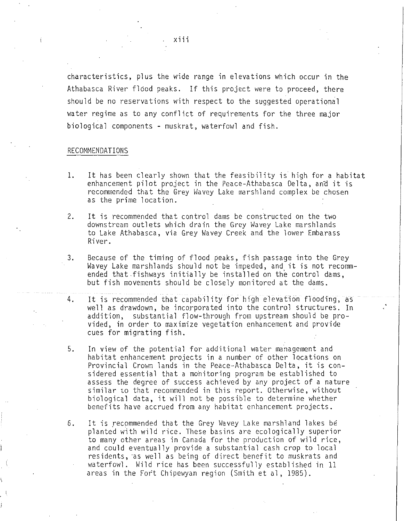characteristics, plus the wide range in elevations which occur in the Athabasca River flood peaks. If this project were to proceed, there should be no reservations with respect to the suggested operational water regime as to any conflict of requirements for the three major biological components - muskrat, waterfowl and fish.

#### RECOMMENDATIONS

- 1. It has been clearly shown that the feasibility is high for a habitat enhancement pilot project in the Peace-Athabasca Delta, and it is recommended that the Grey Wavey Lake marshland complex be chosen as the prime location.
- 2. It is recommended that control dams be constructed on the two downstream outlets which drain the Grey Wavey Lake marshlands to Lake Athabasca, via Grey Wavey Creek and the lower Embarass River.
- 3. Because of the timing of flood peaks, fish passage into the Grey Wavey Lake marshlands should not be impeded, and it is not recommended that fishways initially be installed on the control dams, but fish movements should be closely monitored at the dams.
- 4. It is recommended that capability for high elevation flooding, as well as drawdown, be incorporated into the control structures. In addition, substantial flow-through from upstream should be provided, in order to maximize vegetation enhancement and provide cues for migrating fish.
- 5. In view of the potential for additional water management and habitat enhancement projects in a number of other locations on Provincial Crown lands in the Peace-Athabasca Delta, it is considered essential that a mohitoring program be established to assess the degree of success achieved by any project of a nature similar to that recommended in this report. Otherwise, without biological data, it will not be possible to determine whether benefits have accrued from any habitat enhancement projects.
- 6. It is recommended that the Grey Wavey Lake marshland lakes be planted with wild rice. These basins are ecologically superior to many other areas in Canada for the production of wild rice, and could eventually provide a substantial cash crop to local residents, as well as being of direct benefit to muskrats and waterfowl. Wild rice has been successfully established in 11 areas in the Fort Chipewyan region (Smith et al, 1985).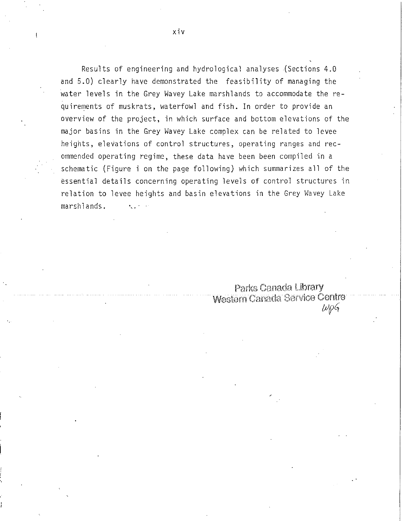Results of engineering and hydrological analyses (Sections 4.0 and 5.0) clearly have demonstrated the feasibility of managing the water levels in the Grey Wavey Lake marshlands to accommodate the requirements of muskrats, waterfowl and fish. In order to provide an overview of the project, in which surface and bottom elevations of the major basins in the Grey Wavey Lake complex can be related to levee heights, elevations of control structures, operating ranges and recommended operating regime, these data have been been compiled in a schematic (Figure i on the page following) which summarizes all of the essential details concerning operating levels of control structures in relation to levee heights and basin elevations in the Grey Wavey Lake marshlands. ·

> Parks Canada Library Western Canada Service Centre *IJJf>Gr*

xiv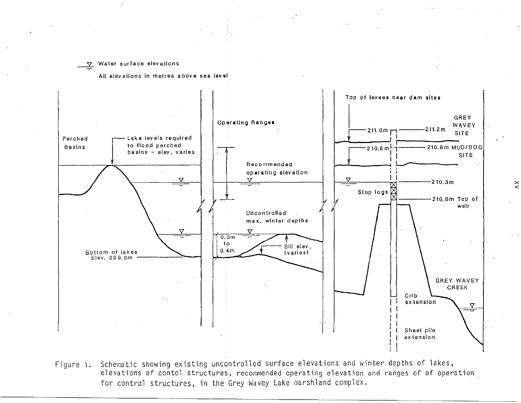#### V Water surface elevations

A,

All elevations in metres above sea level



Figure i. Schematic showing existing uncontrolled surface elevations and winter depths of lakes, elevations of contol structures, recommended operating elevation and ranges of of operation for control structures, in the Grey Wavey Lake marshland complex.

 $\breve{\le}$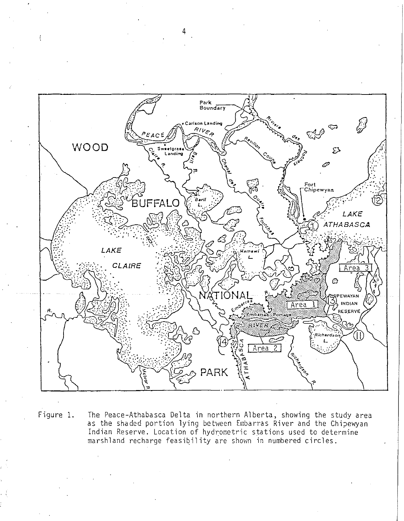

Figure 1.

The Peace-Athabasca Delta in northern Alberta, showing the study area as the shaded portion lying between Embarras River and the Chipewyan Indian Reserve. Location of hydrometric stations used to determine marshland recharge feasibility are shown in numbered circles.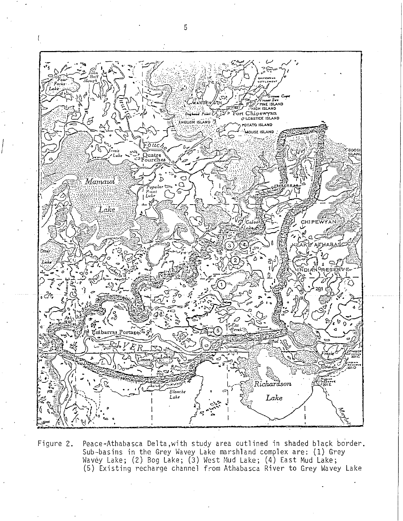

Figure 2. Peace-Athabasca Delta, with study area outlined in shaded black border. Sub-basins in the Grey Wavey Lake marshland complex are: (1) Grey Wavey Lake; (2) Bog Lake; (3) West Mud Lake; (4) East Mud Lake; (5) Existing recharge channel from Athabasca River to Grey Wavey Lake

I I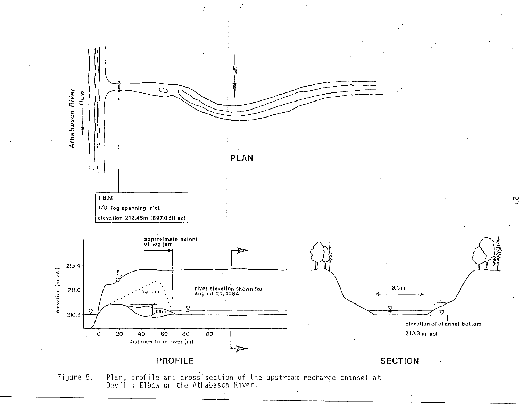

Plan, profile and cross-section of the upstream recharge channel at Devil's Elbow on the Athabasca River. Figure 5.